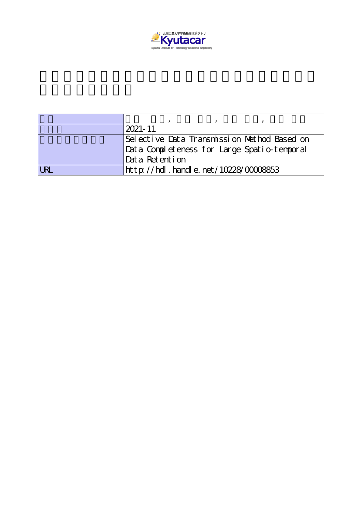

|                       | $2021 - 11$                                 |
|-----------------------|---------------------------------------------|
|                       | Selective Data Transmission Nethod Based on |
|                       | Data Completeness for Large Spatio-temporal |
|                       | Data Retention                              |
| $\overline{\text{R}}$ | http://hdl.handle.net/10228/00008853        |